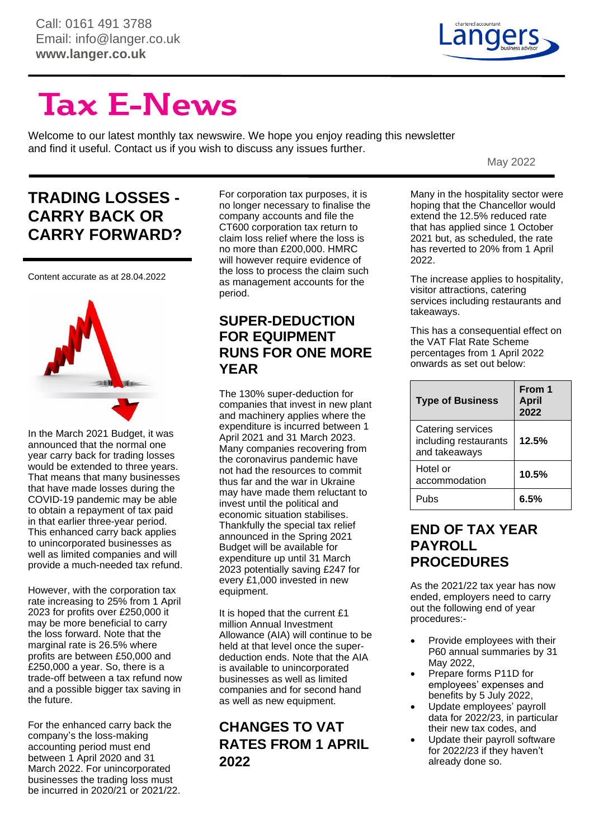

# **Tax E-News**

Welcome to our latest monthly tax newswire. We hope you enjoy reading this newsletter and find it useful. Contact us if you wish to discuss any issues further.

May 2022

# **TRADING LOSSES - CARRY BACK OR CARRY FORWARD?**

Content accurate as at 28.04.2022



In the March 2021 Budget, it was announced that the normal one year carry back for trading losses would be extended to three years. That means that many businesses that have made losses during the COVID-19 pandemic may be able to obtain a repayment of tax paid in that earlier three-year period. This enhanced carry back applies to unincorporated businesses as well as limited companies and will provide a much-needed tax refund.

However, with the corporation tax rate increasing to 25% from 1 April 2023 for profits over £250,000 it may be more beneficial to carry the loss forward. Note that the marginal rate is 26.5% where profits are between £50,000 and £250,000 a year. So, there is a trade-off between a tax refund now and a possible bigger tax saving in the future.

For the enhanced carry back the company's the loss-making accounting period must end between 1 April 2020 and 31 March 2022. For unincorporated businesses the trading loss must be incurred in 2020/21 or 2021/22.

For corporation tax purposes, it is no longer necessary to finalise the company accounts and file the CT600 corporation tax return to claim loss relief where the loss is no more than £200,000. HMRC will however require evidence of the loss to process the claim such as management accounts for the period.

#### **SUPER-DEDUCTION FOR EQUIPMENT RUNS FOR ONE MORE YEAR**

The 130% super-deduction for companies that invest in new plant and machinery applies where the expenditure is incurred between 1 April 2021 and 31 March 2023. Many companies recovering from the coronavirus pandemic have not had the resources to commit thus far and the war in Ukraine may have made them reluctant to invest until the political and economic situation stabilises. Thankfully the special tax relief announced in the Spring 2021 Budget will be available for expenditure up until 31 March 2023 potentially saving £247 for every £1,000 invested in new equipment.

It is hoped that the current £1 million Annual Investment Allowance (AIA) will continue to be held at that level once the superdeduction ends. Note that the AIA is available to unincorporated businesses as well as limited companies and for second hand as well as new equipment.

### **CHANGES TO VAT RATES FROM 1 APRIL 2022**

Many in the hospitality sector were hoping that the Chancellor would extend the 12.5% reduced rate that has applied since 1 October 2021 but, as scheduled, the rate has reverted to 20% from 1 April 2022.

The increase applies to hospitality, visitor attractions, catering services including restaurants and takeaways.

This has a consequential effect on the VAT Flat Rate Scheme percentages from 1 April 2022 onwards as set out below:

| <b>Type of Business</b>                                     | From 1<br><b>April</b><br>2022 |
|-------------------------------------------------------------|--------------------------------|
| Catering services<br>including restaurants<br>and takeaways | 12.5%                          |
| Hotel or<br>accommodation                                   | 10.5%                          |
| Pubs                                                        | 6 5%                           |

#### **END OF TAX YEAR PAYROLL PROCEDURES**

As the 2021/22 tax year has now ended, employers need to carry out the following end of year procedures:-

- Provide employees with their P60 annual summaries by 31 May 2022,
- Prepare forms P11D for employees' expenses and benefits by 5 July 2022,
- Update employees' payroll data for 2022/23, in particular their new tax codes, and
- Update their payroll software for 2022/23 if they haven't already done so.